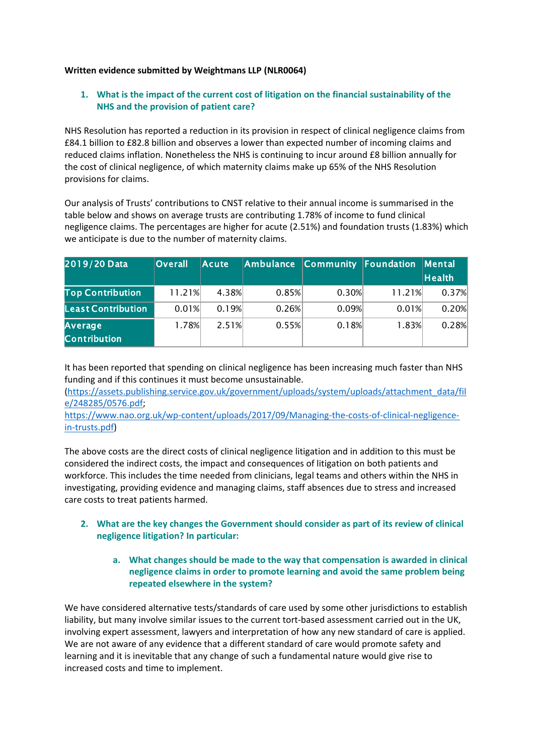#### **Written evidence submitted by Weightmans LLP (NLR0064)**

# **1. What is the impact of the current cost of litigation on the financial sustainability of the NHS and the provision of patient care?**

NHS Resolution has reported a reduction in its provision in respect of clinical negligence claims from £84.1 billion to £82.8 billion and observes a lower than expected number of incoming claims and reduced claims inflation. Nonetheless the NHS is continuing to incur around £8 billion annually for the cost of clinical negligence, of which maternity claims make up 65% of the NHS Resolution provisions for claims.

Our analysis of Trusts' contributions to CNST relative to their annual income is summarised in the table below and shows on average trusts are contributing 1.78% of income to fund clinical negligence claims. The percentages are higher for acute (2.51%) and foundation trusts (1.83%) which we anticipate is due to the number of maternity claims.

| 2019/20 Data                          | <b>Overall</b> | <b>Acute</b> | Ambulance | Community Foundation |        | Mental |
|---------------------------------------|----------------|--------------|-----------|----------------------|--------|--------|
|                                       |                |              |           |                      |        | Health |
| <b>Top Contribution</b>               | 11.21%         | 4.38%        | 0.85%     | 0.30%                | 11.21% | 0.37%  |
| <b>Least Contribution</b>             | 0.01%          | 0.19%        | 0.26%     | 0.09%                | 0.01%  | 0.20%  |
| <b>Average</b><br><b>Contribution</b> | 1.78%          | 2.51%        | 0.55%     | 0.18%                | 1.83%  | 0.28%  |

It has been reported that spending on clinical negligence has been increasing much faster than NHS funding and if this continues it must become unsustainable.

[\(https://assets.publishing.service.gov.uk/government/uploads/system/uploads/attachment\\_data/fil](https://assets.publishing.service.gov.uk/government/uploads/system/uploads/attachment_data/file/248285/0576.pdf) [e/248285/0576.pdf](https://assets.publishing.service.gov.uk/government/uploads/system/uploads/attachment_data/file/248285/0576.pdf);

[https://www.nao.org.uk/wp-content/uploads/2017/09/Managing-the-costs-of-clinical-negligence](https://www.nao.org.uk/wp-content/uploads/2017/09/Managing-the-costs-of-clinical-negligence-in-trusts.pdf)[in-trusts.pdf\)](https://www.nao.org.uk/wp-content/uploads/2017/09/Managing-the-costs-of-clinical-negligence-in-trusts.pdf)

The above costs are the direct costs of clinical negligence litigation and in addition to this must be considered the indirect costs, the impact and consequences of litigation on both patients and workforce. This includes the time needed from clinicians, legal teams and others within the NHS in investigating, providing evidence and managing claims, staff absences due to stress and increased care costs to treat patients harmed.

- **2. What are the key changes the Government should consider as part of its review of clinical negligence litigation? In particular:**
	- **a. What changes should be made to the way that compensation is awarded in clinical negligence claims in order to promote learning and avoid the same problem being repeated elsewhere in the system?**

We have considered alternative tests/standards of care used by some other jurisdictions to establish liability, but many involve similar issues to the current tort-based assessment carried out in the UK, involving expert assessment, lawyers and interpretation of how any new standard of care is applied. We are not aware of any evidence that a different standard of care would promote safety and learning and it is inevitable that any change of such a fundamental nature would give rise to increased costs and time to implement.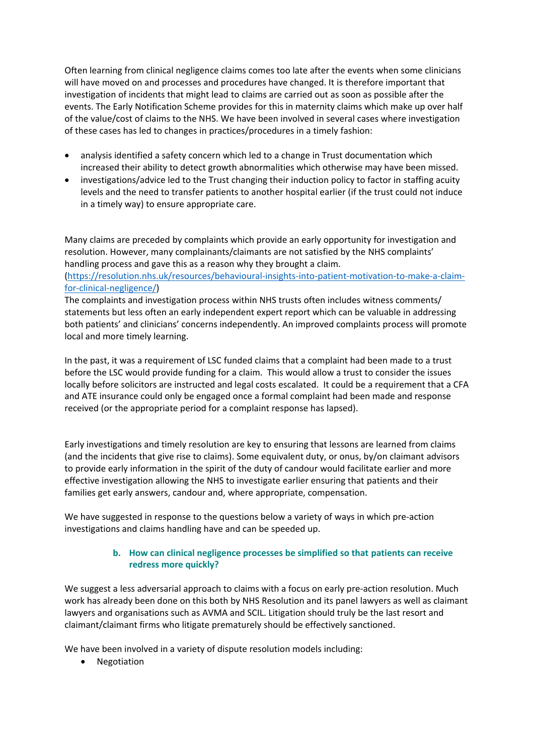Often learning from clinical negligence claims comes too late after the events when some clinicians will have moved on and processes and procedures have changed. It is therefore important that investigation of incidents that might lead to claims are carried out as soon as possible after the events. The Early Notification Scheme provides for this in maternity claims which make up over half of the value/cost of claims to the NHS. We have been involved in several cases where investigation of these cases has led to changes in practices/procedures in a timely fashion:

- analysis identified a safety concern which led to a change in Trust documentation which increased their ability to detect growth abnormalities which otherwise may have been missed.
- investigations/advice led to the Trust changing their induction policy to factor in staffing acuity levels and the need to transfer patients to another hospital earlier (if the trust could not induce in a timely way) to ensure appropriate care.

Many claims are preceded by complaints which provide an early opportunity for investigation and resolution. However, many complainants/claimants are not satisfied by the NHS complaints' handling process and gave this as a reason why they brought a claim.

[\(https://resolution.nhs.uk/resources/behavioural-insights-into-patient-motivation-to-make-a-claim](https://resolution.nhs.uk/resources/behavioural-insights-into-patient-motivation-to-make-a-claim-for-clinical-negligence/)[for-clinical-negligence/](https://resolution.nhs.uk/resources/behavioural-insights-into-patient-motivation-to-make-a-claim-for-clinical-negligence/))

The complaints and investigation process within NHS trusts often includes witness comments/ statements but less often an early independent expert report which can be valuable in addressing both patients' and clinicians' concerns independently. An improved complaints process will promote local and more timely learning.

In the past, it was a requirement of LSC funded claims that a complaint had been made to a trust before the LSC would provide funding for a claim. This would allow a trust to consider the issues locally before solicitors are instructed and legal costs escalated. It could be a requirement that a CFA and ATE insurance could only be engaged once a formal complaint had been made and response received (or the appropriate period for a complaint response has lapsed).

Early investigations and timely resolution are key to ensuring that lessons are learned from claims (and the incidents that give rise to claims). Some equivalent duty, or onus, by/on claimant advisors to provide early information in the spirit of the duty of candour would facilitate earlier and more effective investigation allowing the NHS to investigate earlier ensuring that patients and their families get early answers, candour and, where appropriate, compensation.

We have suggested in response to the questions below a variety of ways in which pre-action investigations and claims handling have and can be speeded up.

# **b. How can clinical negligence processes be simplified so that patients can receive redress more quickly?**

We suggest a less adversarial approach to claims with a focus on early pre-action resolution. Much work has already been done on this both by NHS Resolution and its panel lawyers as well as claimant lawyers and organisations such as AVMA and SCIL. Litigation should truly be the last resort and claimant/claimant firms who litigate prematurely should be effectively sanctioned.

We have been involved in a variety of dispute resolution models including:

Negotiation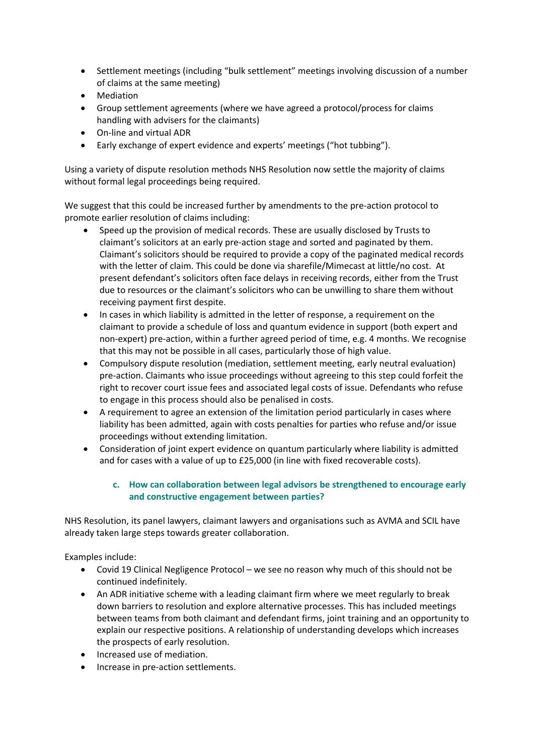- Settlement meetings (including "bulk settlement" meetings involving discussion of a number of claims at the same meeting)
- Mediation
- Group settlement agreements (where we have agreed a protocol/process for claims handling with advisers for the claimants)
- On-line and virtual ADR
- Early exchange of expert evidence and experts' meetings ("hot tubbing").

Using a variety of dispute resolution methods NHS Resolution now settle the majority of claims without formal legal proceedings being required.

We suggest that this could be increased further by amendments to the pre-action protocol to promote earlier resolution of claims including:

- Speed up the provision of medical records. These are usually disclosed by Trusts to claimant's solicitors at an early pre-action stage and sorted and paginated by them. Claimant's solicitors should be required to provide a copy of the paginated medical records with the letter of claim. This could be done via sharefile/Mimecast at little/no cost. At present defendant's solicitors often face delays in receiving records, either from the Trust due to resources or the claimant's solicitors who can be unwilling to share them without receiving payment first despite.
- In cases in which liability is admitted in the letter of response, a requirement on the claimant to provide a schedule of loss and quantum evidence in support (both expert and non-expert) pre-action, within a further agreed period of time, e.g. 4 months. We recognise that this may not be possible in all cases, particularly those of high value.
- Compulsory dispute resolution (mediation, settlement meeting, early neutral evaluation) pre-action. Claimants who issue proceedings without agreeing to this step could forfeit the right to recover court issue fees and associated legal costs of issue. Defendants who refuse to engage in this process should also be penalised in costs.
- A requirement to agree an extension of the limitation period particularly in cases where liability has been admitted, again with costs penalties for parties who refuse and/or issue proceedings without extending limitation.
- Consideration of joint expert evidence on quantum particularly where liability is admitted and for cases with a value of up to £25,000 (in line with fixed recoverable costs).

# **c. How can collaboration between legal advisors be strengthened to encourage early and constructive engagement between parties?**

NHS Resolution, its panel lawyers, claimant lawyers and organisations such as AVMA and SCIL have already taken large steps towards greater collaboration.

Examples include:

- Covid 19 Clinical Negligence Protocol we see no reason why much of this should not be continued indefinitely.
- An ADR initiative scheme with a leading claimant firm where we meet regularly to break down barriers to resolution and explore alternative processes. This has included meetings between teams from both claimant and defendant firms, joint training and an opportunity to explain our respective positions. A relationship of understanding develops which increases the prospects of early resolution.
- Increased use of mediation.
- Increase in pre-action settlements.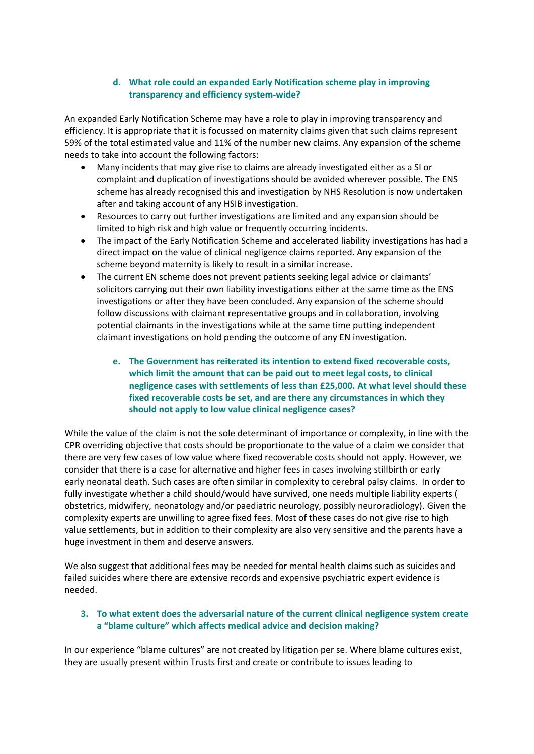### **d. What role could an expanded Early Notification scheme play in improving transparency and efficiency system-wide?**

An expanded Early Notification Scheme may have a role to play in improving transparency and efficiency. It is appropriate that it is focussed on maternity claims given that such claims represent 59% of the total estimated value and 11% of the number new claims. Any expansion of the scheme needs to take into account the following factors:

- Many incidents that may give rise to claims are already investigated either as a SI or complaint and duplication of investigations should be avoided wherever possible. The ENS scheme has already recognised this and investigation by NHS Resolution is now undertaken after and taking account of any HSIB investigation.
- Resources to carry out further investigations are limited and any expansion should be limited to high risk and high value or frequently occurring incidents.
- The impact of the Early Notification Scheme and accelerated liability investigations has had a direct impact on the value of clinical negligence claims reported. Any expansion of the scheme beyond maternity is likely to result in a similar increase.
- The current EN scheme does not prevent patients seeking legal advice or claimants' solicitors carrying out their own liability investigations either at the same time as the ENS investigations or after they have been concluded. Any expansion of the scheme should follow discussions with claimant representative groups and in collaboration, involving potential claimants in the investigations while at the same time putting independent claimant investigations on hold pending the outcome of any EN investigation.
	- **e. The Government has reiterated its intention to extend fixed recoverable costs, which limit the amount that can be paid out to meet legal costs, to clinical negligence cases with settlements of less than £25,000. At what level should these fixed recoverable costs be set, and are there any circumstances in which they should not apply to low value clinical negligence cases?**

While the value of the claim is not the sole determinant of importance or complexity, in line with the CPR overriding objective that costs should be proportionate to the value of a claim we consider that there are very few cases of low value where fixed recoverable costs should not apply. However, we consider that there is a case for alternative and higher fees in cases involving stillbirth or early early neonatal death. Such cases are often similar in complexity to cerebral palsy claims. In order to fully investigate whether a child should/would have survived, one needs multiple liability experts ( obstetrics, midwifery, neonatology and/or paediatric neurology, possibly neuroradiology). Given the complexity experts are unwilling to agree fixed fees. Most of these cases do not give rise to high value settlements, but in addition to their complexity are also very sensitive and the parents have a huge investment in them and deserve answers.

We also suggest that additional fees may be needed for mental health claims such as suicides and failed suicides where there are extensive records and expensive psychiatric expert evidence is needed.

# **3. To what extent does the adversarial nature of the current clinical negligence system create a "blame culture" which affects medical advice and decision making?**

In our experience "blame cultures" are not created by litigation per se. Where blame cultures exist, they are usually present within Trusts first and create or contribute to issues leading to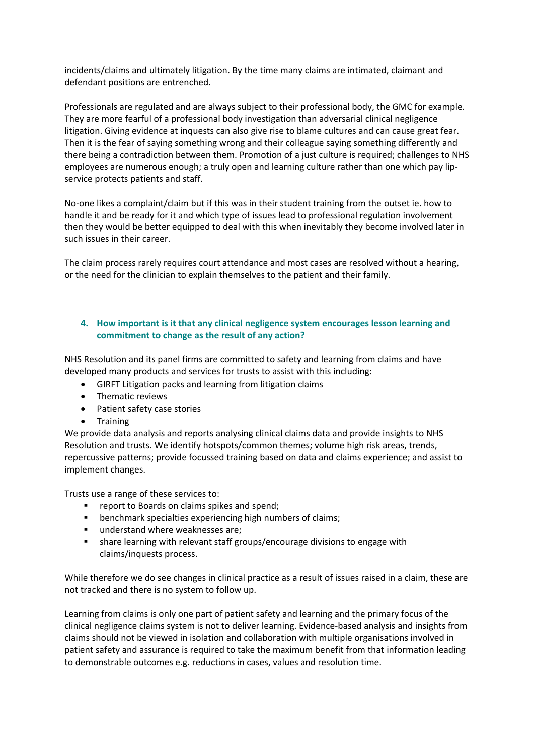incidents/claims and ultimately litigation. By the time many claims are intimated, claimant and defendant positions are entrenched.

Professionals are regulated and are always subject to their professional body, the GMC for example. They are more fearful of a professional body investigation than adversarial clinical negligence litigation. Giving evidence at inquests can also give rise to blame cultures and can cause great fear. Then it is the fear of saying something wrong and their colleague saying something differently and there being a contradiction between them. Promotion of a just culture is required; challenges to NHS employees are numerous enough; a truly open and learning culture rather than one which pay lipservice protects patients and staff.

No-one likes a complaint/claim but if this was in their student training from the outset ie. how to handle it and be ready for it and which type of issues lead to professional regulation involvement then they would be better equipped to deal with this when inevitably they become involved later in such issues in their career.

The claim process rarely requires court attendance and most cases are resolved without a hearing, or the need for the clinician to explain themselves to the patient and their family.

### **4. How important is it that any clinical negligence system encourages lesson learning and commitment to change as the result of any action?**

NHS Resolution and its panel firms are committed to safety and learning from claims and have developed many products and services for trusts to assist with this including:

- GIRFT Litigation packs and learning from litigation claims
- Thematic reviews
- Patient safety case stories
- Training

We provide data analysis and reports analysing clinical claims data and provide insights to NHS Resolution and trusts. We identify hotspots/common themes; volume high risk areas, trends, repercussive patterns; provide focussed training based on data and claims experience; and assist to implement changes.

Trusts use a range of these services to:

- **F** report to Boards on claims spikes and spend;
- benchmark specialties experiencing high numbers of claims;
- understand where weaknesses are;
- share learning with relevant staff groups/encourage divisions to engage with claims/inquests process.

While therefore we do see changes in clinical practice as a result of issues raised in a claim, these are not tracked and there is no system to follow up.

Learning from claims is only one part of patient safety and learning and the primary focus of the clinical negligence claims system is not to deliver learning. Evidence-based analysis and insights from claims should not be viewed in isolation and collaboration with multiple organisations involved in patient safety and assurance is required to take the maximum benefit from that information leading to demonstrable outcomes e.g. reductions in cases, values and resolution time.